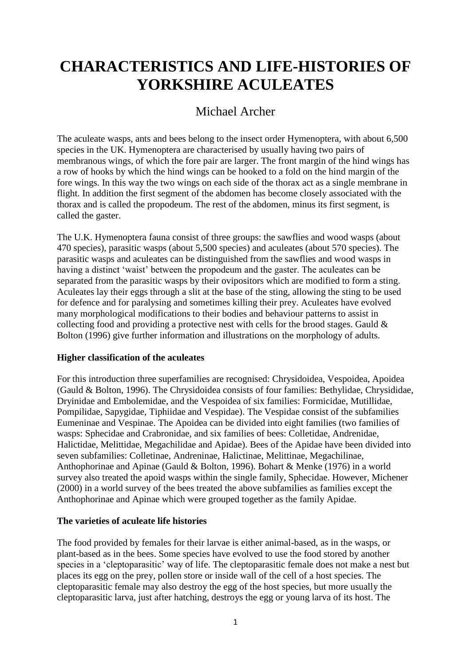# **CHARACTERISTICS AND LIFE-HISTORIES OF YORKSHIRE ACULEATES**

# Michael Archer

The aculeate wasps, ants and bees belong to the insect order Hymenoptera, with about 6,500 species in the UK. Hymenoptera are characterised by usually having two pairs of membranous wings, of which the fore pair are larger. The front margin of the hind wings has a row of hooks by which the hind wings can be hooked to a fold on the hind margin of the fore wings. In this way the two wings on each side of the thorax act as a single membrane in flight. In addition the first segment of the abdomen has become closely associated with the thorax and is called the propodeum. The rest of the abdomen, minus its first segment, is called the gaster.

The U.K. Hymenoptera fauna consist of three groups: the sawflies and wood wasps (about 470 species), parasitic wasps (about 5,500 species) and aculeates (about 570 species). The parasitic wasps and aculeates can be distinguished from the sawflies and wood wasps in having a distinct 'waist' between the propodeum and the gaster. The aculeates can be separated from the parasitic wasps by their ovipositors which are modified to form a sting. Aculeates lay their eggs through a slit at the base of the sting, allowing the sting to be used for defence and for paralysing and sometimes killing their prey. Aculeates have evolved many morphological modifications to their bodies and behaviour patterns to assist in collecting food and providing a protective nest with cells for the brood stages. Gauld & Bolton (1996) give further information and illustrations on the morphology of adults.

# **Higher classification of the aculeates**

For this introduction three superfamilies are recognised: Chrysidoidea, Vespoidea, Apoidea (Gauld & Bolton, 1996). The Chrysidoidea consists of four families: Bethylidae, Chrysididae, Dryinidae and Embolemidae, and the Vespoidea of six families: Formicidae, Mutillidae, Pompilidae, Sapygidae, Tiphiidae and Vespidae). The Vespidae consist of the subfamilies Eumeninae and Vespinae. The Apoidea can be divided into eight families (two families of wasps: Sphecidae and Crabronidae, and six families of bees: Colletidae, Andrenidae, Halictidae, Melittidae, Megachilidae and Apidae). Bees of the Apidae have been divided into seven subfamilies: Colletinae, Andreninae, Halictinae, Melittinae, Megachilinae, Anthophorinae and Apinae (Gauld & Bolton, 1996). Bohart & Menke (1976) in a world survey also treated the apoid wasps within the single family, Sphecidae. However, Michener (2000) in a world survey of the bees treated the above subfamilies as families except the Anthophorinae and Apinae which were grouped together as the family Apidae.

# **The varieties of aculeate life histories**

The food provided by females for their larvae is either animal-based, as in the wasps, or plant-based as in the bees. Some species have evolved to use the food stored by another species in a 'cleptoparasitic' way of life. The cleptoparasitic female does not make a nest but places its egg on the prey, pollen store or inside wall of the cell of a host species. The cleptoparasitic female may also destroy the egg of the host species, but more usually the cleptoparasitic larva, just after hatching, destroys the egg or young larva of its host. The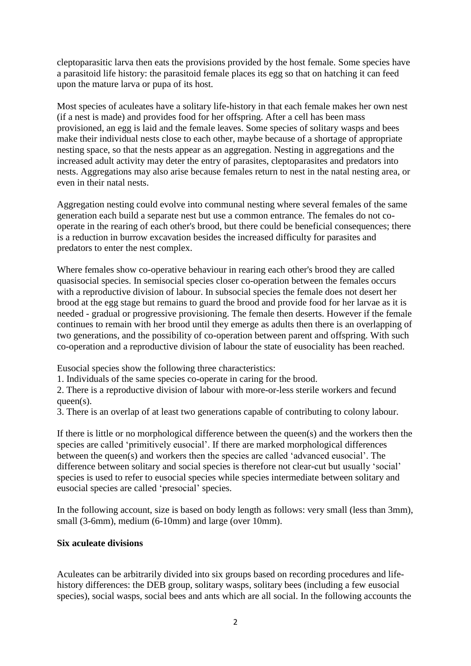cleptoparasitic larva then eats the provisions provided by the host female. Some species have a parasitoid life history: the parasitoid female places its egg so that on hatching it can feed upon the mature larva or pupa of its host.

Most species of aculeates have a solitary life-history in that each female makes her own nest (if a nest is made) and provides food for her offspring. After a cell has been mass provisioned, an egg is laid and the female leaves. Some species of solitary wasps and bees make their individual nests close to each other, maybe because of a shortage of appropriate nesting space, so that the nests appear as an aggregation. Nesting in aggregations and the increased adult activity may deter the entry of parasites, cleptoparasites and predators into nests. Aggregations may also arise because females return to nest in the natal nesting area, or even in their natal nests.

Aggregation nesting could evolve into communal nesting where several females of the same generation each build a separate nest but use a common entrance. The females do not cooperate in the rearing of each other's brood, but there could be beneficial consequences; there is a reduction in burrow excavation besides the increased difficulty for parasites and predators to enter the nest complex.

Where females show co-operative behaviour in rearing each other's brood they are called quasisocial species. In semisocial species closer co-operation between the females occurs with a reproductive division of labour. In subsocial species the female does not desert her brood at the egg stage but remains to guard the brood and provide food for her larvae as it is needed - gradual or progressive provisioning. The female then deserts. However if the female continues to remain with her brood until they emerge as adults then there is an overlapping of two generations, and the possibility of co-operation between parent and offspring. With such co-operation and a reproductive division of labour the state of eusociality has been reached.

Eusocial species show the following three characteristics:

1. Individuals of the same species co-operate in caring for the brood.

2. There is a reproductive division of labour with more-or-less sterile workers and fecund queen(s).

3. There is an overlap of at least two generations capable of contributing to colony labour.

If there is little or no morphological difference between the queen(s) and the workers then the species are called 'primitively eusocial'. If there are marked morphological differences between the queen(s) and workers then the species are called 'advanced eusocial'. The difference between solitary and social species is therefore not clear-cut but usually 'social' species is used to refer to eusocial species while species intermediate between solitary and eusocial species are called 'presocial' species.

In the following account, size is based on body length as follows: very small (less than 3mm), small (3-6mm), medium (6-10mm) and large (over 10mm).

#### **Six aculeate divisions**

Aculeates can be arbitrarily divided into six groups based on recording procedures and lifehistory differences: the DEB group, solitary wasps, solitary bees (including a few eusocial species), social wasps, social bees and ants which are all social. In the following accounts the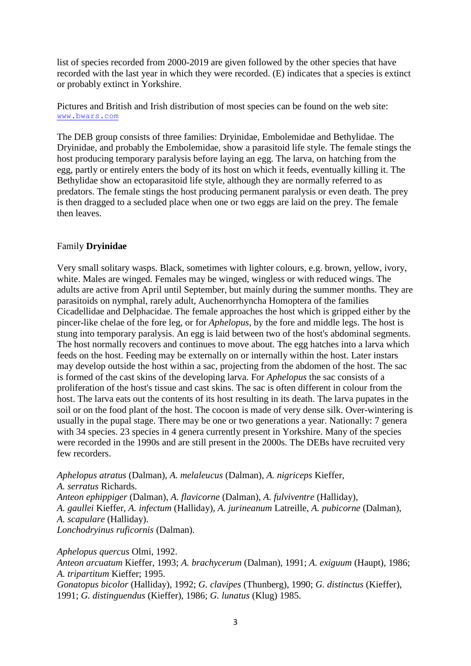list of species recorded from 2000-2019 are given followed by the other species that have recorded with the last year in which they were recorded. (E) indicates that a species is extinct or probably extinct in Yorkshire.

Pictures and British and Irish distribution of most species can be found on the web site: [www.bwars.com](http://www.bwars.com/)

The DEB group consists of three families: Dryinidae, Embolemidae and Bethylidae. The Dryinidae, and probably the Embolemidae, show a parasitoid life style. The female stings the host producing temporary paralysis before laying an egg. The larva, on hatching from the egg, partly or entirely enters the body of its host on which it feeds, eventually killing it. The Bethylidae show an ectoparasitoid life style, although they are normally referred to as predators. The female stings the host producing permanent paralysis or even death. The prey is then dragged to a secluded place when one or two eggs are laid on the prey. The female then leaves.

#### Family **Dryinidae**

Very small solitary wasps. Black, sometimes with lighter colours, e.g. brown, yellow, ivory, white. Males are winged. Females may be winged, wingless or with reduced wings. The adults are active from April until September, but mainly during the summer months. They are parasitoids on nymphal, rarely adult, Auchenorrhyncha Homoptera of the families Cicadellidae and Delphacidae. The female approaches the host which is gripped either by the pincer-like chelae of the fore leg, or for *Aphelopus*, by the fore and middle legs. The host is stung into temporary paralysis. An egg is laid between two of the host's abdominal segments. The host normally recovers and continues to move about. The egg hatches into a larva which feeds on the host. Feeding may be externally on or internally within the host. Later instars may develop outside the host within a sac, projecting from the abdomen of the host. The sac is formed of the cast skins of the developing larva. For *Aphelopus* the sac consists of a proliferation of the host's tissue and cast skins. The sac is often different in colour from the host. The larva eats out the contents of its host resulting in its death. The larva pupates in the soil or on the food plant of the host. The cocoon is made of very dense silk. Over-wintering is usually in the pupal stage. There may be one or two generations a year. Nationally: 7 genera with 34 species. 23 species in 4 genera currently present in Yorkshire. Many of the species were recorded in the 1990s and are still present in the 2000s. The DEBs have recruited very few recorders.

*Aphelopus atratus* (Dalman), *A. melaleucus* (Dalman), *A. nigriceps* Kieffer, *A. serratus* Richards. *Anteon ephippiger* (Dalman), *A. flavicorne* (Dalman), *A. fulviventre* (Halliday), *A. gaullei* Kieffer, *A. infectum* (Halliday), *A. jurineanum* Latreille, *A. pubicorne* (Dalman), *A. scapulare* (Halliday). *Lonchodryinus ruficornis* (Dalman).

*Aphelopus quercus* Olmi, 1992. *Anteon arcuatum* Kieffer, 1993; *A. brachycerum* (Dalman), 1991; *A. exiguum* (Haupt), 1986; *A. tripartitum* Kieffer; 1995. *Gonatopus bicolor* (Halliday), 1992; *G. clavipes* (Thunberg), 1990; *G. distinctus* (Kieffer), 1991; *G. distinguendus* (Kieffer), 1986; *G. lunatus* (Klug) 1985.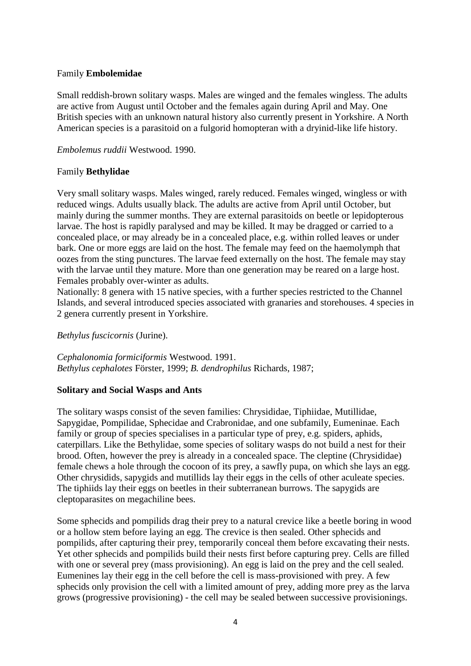# Family **Embolemidae**

Small reddish-brown solitary wasps. Males are winged and the females wingless. The adults are active from August until October and the females again during April and May. One British species with an unknown natural history also currently present in Yorkshire. A North American species is a parasitoid on a fulgorid homopteran with a dryinid-like life history.

*Embolemus ruddii* Westwood. 1990.

# Family **Bethylidae**

Very small solitary wasps. Males winged, rarely reduced. Females winged, wingless or with reduced wings. Adults usually black. The adults are active from April until October, but mainly during the summer months. They are external parasitoids on beetle or lepidopterous larvae. The host is rapidly paralysed and may be killed. It may be dragged or carried to a concealed place, or may already be in a concealed place, e.g. within rolled leaves or under bark. One or more eggs are laid on the host. The female may feed on the haemolymph that oozes from the sting punctures. The larvae feed externally on the host. The female may stay with the larvae until they mature. More than one generation may be reared on a large host. Females probably over-winter as adults.

Nationally: 8 genera with 15 native species, with a further species restricted to the Channel Islands, and several introduced species associated with granaries and storehouses. 4 species in 2 genera currently present in Yorkshire.

*Bethylus fuscicornis* (Jurine).

*Cephalonomia formiciformis* Westwood. 1991. *Bethylus cephalotes* Förster, 1999; *B. dendrophilus* Richards, 1987;

# **Solitary and Social Wasps and Ants**

The solitary wasps consist of the seven families: Chrysididae, Tiphiidae, Mutillidae, Sapygidae, Pompilidae, Sphecidae and Crabronidae, and one subfamily, Eumeninae. Each family or group of species specialises in a particular type of prey, e.g. spiders, aphids, caterpillars. Like the Bethylidae, some species of solitary wasps do not build a nest for their brood. Often, however the prey is already in a concealed space. The cleptine (Chrysididae) female chews a hole through the cocoon of its prey, a sawfly pupa, on which she lays an egg. Other chrysidids, sapygids and mutillids lay their eggs in the cells of other aculeate species. The tiphiids lay their eggs on beetles in their subterranean burrows. The sapygids are cleptoparasites on megachiline bees.

Some sphecids and pompilids drag their prey to a natural crevice like a beetle boring in wood or a hollow stem before laying an egg. The crevice is then sealed. Other sphecids and pompilids, after capturing their prey, temporarily conceal them before excavating their nests. Yet other sphecids and pompilids build their nests first before capturing prey. Cells are filled with one or several prey (mass provisioning). An egg is laid on the prey and the cell sealed. Eumenines lay their egg in the cell before the cell is mass-provisioned with prey. A few sphecids only provision the cell with a limited amount of prey, adding more prey as the larva grows (progressive provisioning) - the cell may be sealed between successive provisionings.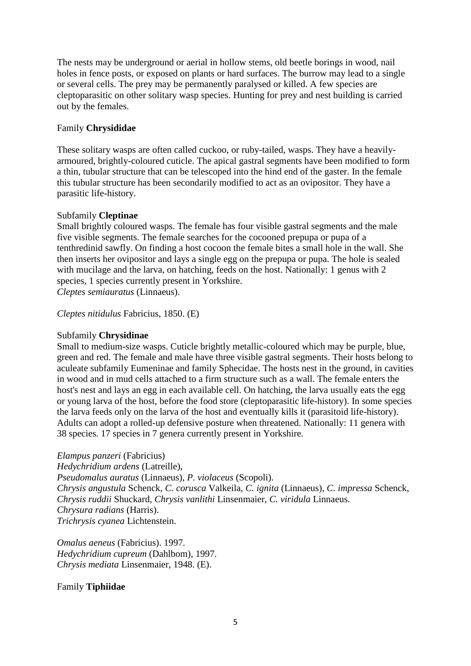The nests may be underground or aerial in hollow stems, old beetle borings in wood, nail holes in fence posts, or exposed on plants or hard surfaces. The burrow may lead to a single or several cells. The prey may be permanently paralysed or killed. A few species are cleptoparasitic on other solitary wasp species. Hunting for prey and nest building is carried out by the females.

# Family **Chrysididae**

These solitary wasps are often called cuckoo, or ruby-tailed, wasps. They have a heavilyarmoured, brightly-coloured cuticle. The apical gastral segments have been modified to form a thin, tubular structure that can be telescoped into the hind end of the gaster. In the female this tubular structure has been secondarily modified to act as an ovipositor. They have a parasitic life-history.

# Subfamily **Cleptinae**

Small brightly coloured wasps. The female has four visible gastral segments and the male five visible segments. The female searches for the cocooned prepupa or pupa of a tenthredinid sawfly. On finding a host cocoon the female bites a small hole in the wall. She then inserts her ovipositor and lays a single egg on the prepupa or pupa. The hole is sealed with mucilage and the larva, on hatching, feeds on the host. Nationally: 1 genus with 2 species, 1 species currently present in Yorkshire. *Cleptes semiauratus* (Linnaeus).

*Cleptes nitidulus* Fabricius, 1850. (E)

# Subfamily **Chrysidinae**

Small to medium-size wasps. Cuticle brightly metallic-coloured which may be purple, blue, green and red. The female and male have three visible gastral segments. Their hosts belong to aculeate subfamily Eumeninae and family Sphecidae. The hosts nest in the ground, in cavities in wood and in mud cells attached to a firm structure such as a wall. The female enters the host's nest and lays an egg in each available cell. On hatching, the larva usually eats the egg or young larva of the host, before the food store (cleptoparasitic life-history). In some species the larva feeds only on the larva of the host and eventually kills it (parasitoid life-history). Adults can adopt a rolled-up defensive posture when threatened. Nationally: 11 genera with 38 species. 17 species in 7 genera currently present in Yorkshire.

*Elampus panzeri* (Fabricius) *Hedychridium ardens* (Latreille), *Pseudomalus auratus* (Linnaeus), *P. violaceus* (Scopoli). *Chrysis angustula* Schenck, *C. corusca* Valkeila, *C. ignita* (Linnaeus), *C. impressa* Schenck, *Chrysis ruddii* Shuckard, *Chrysis vanlithi* Linsenmaier, *C. viridula* Linnaeus. *Chrysura radians* (Harris). *Trichrysis cyanea* Lichtenstein.

*Omalus aeneus* (Fabricius). 1997. *Hedychridium cupreum* (Dahlbom), 1997. *Chrysis mediata* Linsenmaier, 1948. (E).

# Family **Tiphiidae**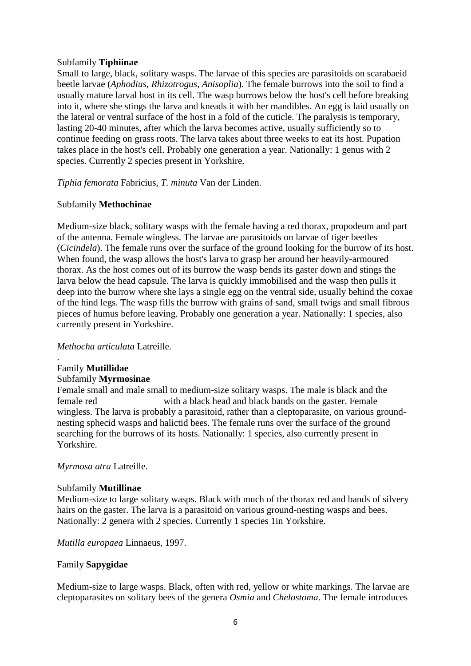# Subfamily **Tiphiinae**

Small to large, black, solitary wasps. The larvae of this species are parasitoids on scarabaeid beetle larvae (*Aphodius, Rhizotrogus, Anisoplia*). The female burrows into the soil to find a usually mature larval host in its cell. The wasp burrows below the host's cell before breaking into it, where she stings the larva and kneads it with her mandibles. An egg is laid usually on the lateral or ventral surface of the host in a fold of the cuticle. The paralysis is temporary, lasting 20-40 minutes, after which the larva becomes active, usually sufficiently so to continue feeding on grass roots. The larva takes about three weeks to eat its host. Pupation takes place in the host's cell. Probably one generation a year. Nationally: 1 genus with 2 species. Currently 2 species present in Yorkshire.

*Tiphia femorata* Fabricius, *T. minuta* Van der Linden.

# Subfamily **Methochinae**

Medium-size black, solitary wasps with the female having a red thorax, propodeum and part of the antenna. Female wingless. The larvae are parasitoids on larvae of tiger beetles (*Cicindela*). The female runs over the surface of the ground looking for the burrow of its host. When found, the wasp allows the host's larva to grasp her around her heavily-armoured thorax. As the host comes out of its burrow the wasp bends its gaster down and stings the larva below the head capsule. The larva is quickly immobilised and the wasp then pulls it deep into the burrow where she lays a single egg on the ventral side, usually behind the coxae of the hind legs. The wasp fills the burrow with grains of sand, small twigs and small fibrous pieces of humus before leaving. Probably one generation a year. Nationally: 1 species, also currently present in Yorkshire.

#### *Methocha articulata* Latreille.

#### . Family **Mutillidae**

#### Subfamily **Myrmosinae**

Female small and male small to medium-size solitary wasps. The male is black and the female red with a black head and black bands on the gaster. Female wingless. The larva is probably a parasitoid, rather than a cleptoparasite, on various groundnesting sphecid wasps and halictid bees. The female runs over the surface of the ground searching for the burrows of its hosts. Nationally: 1 species, also currently present in Yorkshire.

#### *Myrmosa atra* Latreille.

# Subfamily **Mutillinae**

Medium-size to large solitary wasps. Black with much of the thorax red and bands of silvery hairs on the gaster. The larva is a parasitoid on various ground-nesting wasps and bees. Nationally: 2 genera with 2 species*.* Currently 1 species 1in Yorkshire.

# *Mutilla europaea* Linnaeus, 1997.

# Family **Sapygidae**

Medium-size to large wasps. Black, often with red, yellow or white markings. The larvae are cleptoparasites on solitary bees of the genera *Osmia* and *Chelostoma*. The female introduces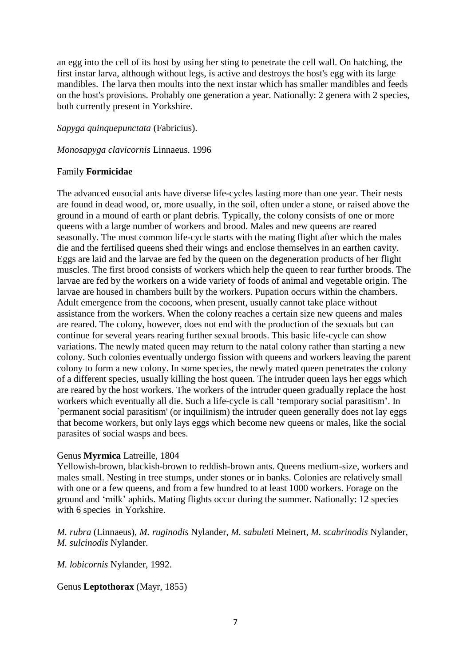an egg into the cell of its host by using her sting to penetrate the cell wall. On hatching, the first instar larva, although without legs, is active and destroys the host's egg with its large mandibles. The larva then moults into the next instar which has smaller mandibles and feeds on the host's provisions. Probably one generation a year. Nationally: 2 genera with 2 species, both currently present in Yorkshire.

*Sapyga quinquepunctata* (Fabricius).

*Monosapyga clavicornis* Linnaeus. 1996

# Family **Formicidae**

The advanced eusocial ants have diverse life-cycles lasting more than one year. Their nests are found in dead wood, or, more usually, in the soil, often under a stone, or raised above the ground in a mound of earth or plant debris. Typically, the colony consists of one or more queens with a large number of workers and brood. Males and new queens are reared seasonally. The most common life-cycle starts with the mating flight after which the males die and the fertilised queens shed their wings and enclose themselves in an earthen cavity. Eggs are laid and the larvae are fed by the queen on the degeneration products of her flight muscles. The first brood consists of workers which help the queen to rear further broods. The larvae are fed by the workers on a wide variety of foods of animal and vegetable origin. The larvae are housed in chambers built by the workers. Pupation occurs within the chambers. Adult emergence from the cocoons, when present, usually cannot take place without assistance from the workers. When the colony reaches a certain size new queens and males are reared. The colony, however, does not end with the production of the sexuals but can continue for several years rearing further sexual broods. This basic life-cycle can show variations. The newly mated queen may return to the natal colony rather than starting a new colony. Such colonies eventually undergo fission with queens and workers leaving the parent colony to form a new colony. In some species, the newly mated queen penetrates the colony of a different species, usually killing the host queen. The intruder queen lays her eggs which are reared by the host workers. The workers of the intruder queen gradually replace the host workers which eventually all die. Such a life-cycle is call 'temporary social parasitism'. In `permanent social parasitism' (or inquilinism) the intruder queen generally does not lay eggs that become workers, but only lays eggs which become new queens or males, like the social parasites of social wasps and bees.

# Genus **Myrmica** Latreille, 1804

Yellowish-brown, blackish-brown to reddish-brown ants. Queens medium-size, workers and males small. Nesting in tree stumps, under stones or in banks. Colonies are relatively small with one or a few queens, and from a few hundred to at least 1000 workers. Forage on the ground and 'milk' aphids. Mating flights occur during the summer. Nationally: 12 species with 6 species in Yorkshire.

*M. rubra* (Linnaeus), *M. ruginodis* Nylander, *M. sabuleti* Meinert, *M. scabrinodis* Nylander, *M. sulcinodis* Nylander.

*M. lobicornis* Nylander, 1992.

# Genus **Leptothorax** (Mayr, 1855)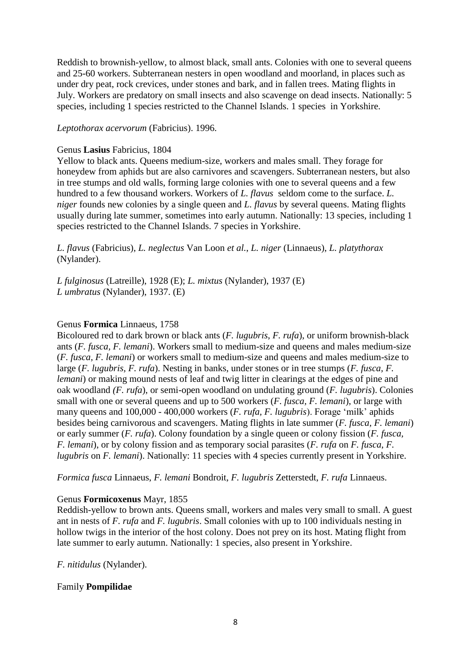Reddish to brownish-yellow, to almost black, small ants. Colonies with one to several queens and 25-60 workers. Subterranean nesters in open woodland and moorland, in places such as under dry peat, rock crevices, under stones and bark, and in fallen trees. Mating flights in July. Workers are predatory on small insects and also scavenge on dead insects. Nationally: 5 species, including 1 species restricted to the Channel Islands. 1 species in Yorkshire.

*Leptothorax acervorum* (Fabricius). 1996.

#### Genus **Lasius** Fabricius, 1804

Yellow to black ants. Queens medium-size, workers and males small. They forage for honeydew from aphids but are also carnivores and scavengers. Subterranean nesters, but also in tree stumps and old walls, forming large colonies with one to several queens and a few hundred to a few thousand workers. Workers of *L. flavus* seldom come to the surface. *L. niger* founds new colonies by a single queen and *L. flavus* by several queens. Mating flights usually during late summer, sometimes into early autumn. Nationally: 13 species, including 1 species restricted to the Channel Islands. 7 species in Yorkshire.

*L. flavus* (Fabricius), *L. neglectus* Van Loon *et al.*, *L. niger* (Linnaeus), *L. platythorax*  (Nylander).

*L fulginosus* (Latreille), 1928 (E); *L. mixtus* (Nylander), 1937 (E) *L umbratus* (Nylander), 1937. (E)

#### Genus **Formica** Linnaeus, 1758

Bicoloured red to dark brown or black ants (*F. lugubris*, *F. rufa*), or uniform brownish-black ants (*F. fusca, F. lemani*). Workers small to medium-size and queens and males medium-size (*F. fusca, F. lemani*) or workers small to medium-size and queens and males medium-size to large (*F. lugubris, F. rufa*). Nesting in banks, under stones or in tree stumps (*F. fusca, F. lemani*) or making mound nests of leaf and twig litter in clearings at the edges of pine and oak woodland *(F. rufa*), or semi-open woodland on undulating ground (*F. lugubris*). Colonies small with one or several queens and up to 500 workers (*F. fusca, F. lemani*), or large with many queens and 100,000 - 400,000 workers (*F. rufa, F. lugubris*). Forage 'milk' aphids besides being carnivorous and scavengers. Mating flights in late summer (*F. fusca, F. lemani*) or early summer (*F. rufa*). Colony foundation by a single queen or colony fission (*F. fusca, F. lemani*), or by colony fission and as temporary social parasites (*F. rufa* on *F. fusca*, *F. lugubris* on *F. lemani*). Nationally: 11 species with 4 species currently present in Yorkshire.

*Formica fusca* Linnaeus, *F. lemani* Bondroit, *F. lugubris* Zetterstedt, *F. rufa* Linnaeus.

#### Genus **Formicoxenus** Mayr, 1855

Reddish-yellow to brown ants. Queens small, workers and males very small to small. A guest ant in nests of *F. rufa* and *F. lugubris*. Small colonies with up to 100 individuals nesting in hollow twigs in the interior of the host colony. Does not prey on its host. Mating flight from late summer to early autumn. Nationally: 1 species, also present in Yorkshire.

*F. nitidulus* (Nylander).

#### Family **Pompilidae**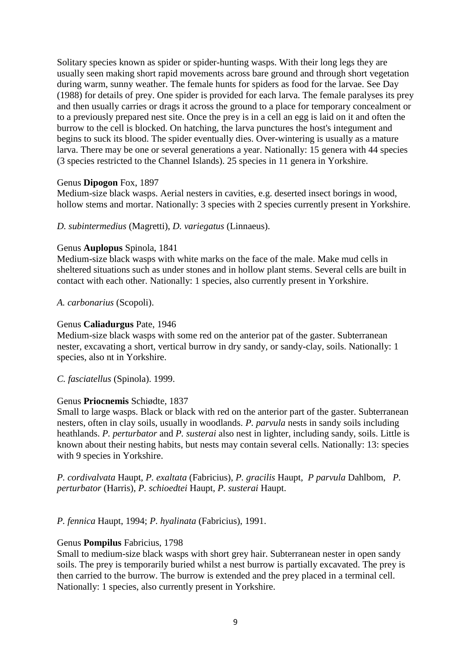Solitary species known as spider or spider-hunting wasps. With their long legs they are usually seen making short rapid movements across bare ground and through short vegetation during warm, sunny weather. The female hunts for spiders as food for the larvae. See Day (1988) for details of prey. One spider is provided for each larva. The female paralyses its prey and then usually carries or drags it across the ground to a place for temporary concealment or to a previously prepared nest site. Once the prey is in a cell an egg is laid on it and often the burrow to the cell is blocked. On hatching, the larva punctures the host's integument and begins to suck its blood. The spider eventually dies. Over-wintering is usually as a mature larva. There may be one or several generations a year. Nationally: 15 genera with 44 species (3 species restricted to the Channel Islands). 25 species in 11 genera in Yorkshire.

#### Genus **Dipogon** Fox, 1897

Medium-size black wasps. Aerial nesters in cavities, e.g. deserted insect borings in wood, hollow stems and mortar. Nationally: 3 species with 2 species currently present in Yorkshire.

#### *D. subintermedius* (Magretti), *D. variegatus* (Linnaeus).

#### Genus **Auplopus** Spinola, 1841

Medium-size black wasps with white marks on the face of the male. Make mud cells in sheltered situations such as under stones and in hollow plant stems. Several cells are built in contact with each other. Nationally: 1 species, also currently present in Yorkshire.

*A. carbonarius* (Scopoli).

#### Genus **Caliadurgus** Pate, 1946

Medium-size black wasps with some red on the anterior pat of the gaster. Subterranean nester, excavating a short, vertical burrow in dry sandy, or sandy-clay, soils. Nationally: 1 species, also nt in Yorkshire.

*C. fasciatellus* (Spinola). 1999.

#### Genus **Priocnemis** Schiødte, 1837

Small to large wasps. Black or black with red on the anterior part of the gaster. Subterranean nesters, often in clay soils, usually in woodlands. *P. parvula* nests in sandy soils including heathlands. *P. perturbator* and *P. susterai* also nest in lighter, including sandy, soils. Little is known about their nesting habits, but nests may contain several cells. Nationally: 13: species with 9 species in Yorkshire.

*P. cordivalvata* Haupt, *P. exaltata* (Fabricius), *P. gracilis* Haupt, *P parvula* Dahlbom, *P. perturbator* (Harris), *P. schioedtei* Haupt, *P. susterai* Haupt.

*P. fennica* Haupt, 1994; *P. hyalinata* (Fabricius), 1991.

#### Genus **Pompilus** Fabricius, 1798

Small to medium-size black wasps with short grey hair. Subterranean nester in open sandy soils. The prey is temporarily buried whilst a nest burrow is partially excavated. The prey is then carried to the burrow. The burrow is extended and the prey placed in a terminal cell. Nationally: 1 species, also currently present in Yorkshire.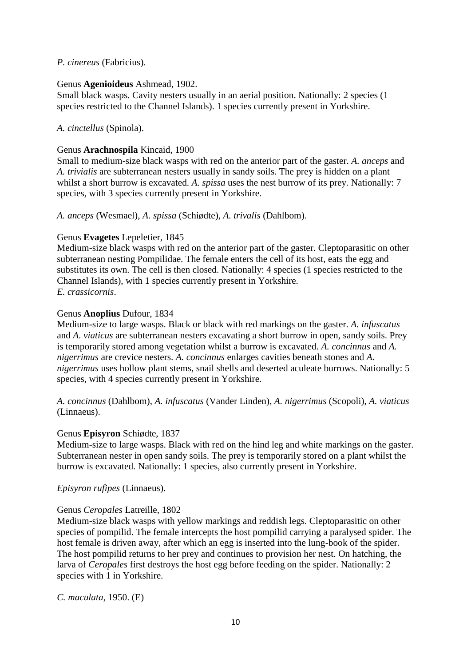# *P. cinereus* (Fabricius).

### Genus **Agenioideus** Ashmead, 1902.

Small black wasps. Cavity nesters usually in an aerial position. Nationally: 2 species (1 species restricted to the Channel Islands). 1 species currently present in Yorkshire.

# *A. cinctellus* (Spinola).

# Genus **Arachnospila** Kincaid, 1900

Small to medium-size black wasps with red on the anterior part of the gaster. *A. anceps* and *A. trivialis* are subterranean nesters usually in sandy soils. The prey is hidden on a plant whilst a short burrow is excavated. *A. spissa* uses the nest burrow of its prey. Nationally: 7 species, with 3 species currently present in Yorkshire.

*A. anceps* (Wesmael), *A. spissa* (Schiødte), *A. trivalis* (Dahlbom).

# Genus **Evagetes** Lepeletier, 1845

Medium-size black wasps with red on the anterior part of the gaster. Cleptoparasitic on other subterranean nesting Pompilidae. The female enters the cell of its host, eats the egg and substitutes its own. The cell is then closed. Nationally: 4 species (1 species restricted to the Channel Islands), with 1 species currently present in Yorkshire. *E. crassicornis*.

# Genus **Anoplius** Dufour, 1834

Medium-size to large wasps. Black or black with red markings on the gaster. *A. infuscatus* and *A. viaticus* are subterranean nesters excavating a short burrow in open, sandy soils. Prey is temporarily stored among vegetation whilst a burrow is excavated. *A. concinnus* and *A. nigerrimus* are crevice nesters. *A. concinnus* enlarges cavities beneath stones and *A. nigerrimus* uses hollow plant stems, snail shells and deserted aculeate burrows. Nationally: 5 species, with 4 species currently present in Yorkshire.

*A. concinnus* (Dahlbom), *A. infuscatus* (Vander Linden), *A. nigerrimus* (Scopoli), *A. viaticus* (Linnaeus).

# Genus **Episyron** Schiødte, 1837

Medium-size to large wasps. Black with red on the hind leg and white markings on the gaster. Subterranean nester in open sandy soils. The prey is temporarily stored on a plant whilst the burrow is excavated. Nationally: 1 species, also currently present in Yorkshire.

# *Episyron rufipes* (Linnaeus).

# Genus *Ceropales* Latreille, 1802

Medium-size black wasps with yellow markings and reddish legs. Cleptoparasitic on other species of pompilid. The female intercepts the host pompilid carrying a paralysed spider. The host female is driven away, after which an egg is inserted into the lung-book of the spider. The host pompilid returns to her prey and continues to provision her nest. On hatching, the larva of *Ceropales* first destroys the host egg before feeding on the spider. Nationally: 2 species with 1 in Yorkshire.

*C. maculata*, 1950. (E)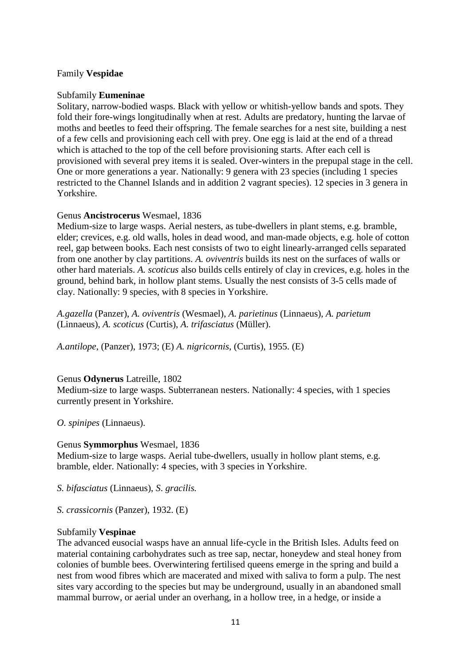### Family **Vespidae**

### Subfamily **Eumeninae**

Solitary, narrow-bodied wasps. Black with yellow or whitish-yellow bands and spots. They fold their fore-wings longitudinally when at rest. Adults are predatory, hunting the larvae of moths and beetles to feed their offspring. The female searches for a nest site, building a nest of a few cells and provisioning each cell with prey. One egg is laid at the end of a thread which is attached to the top of the cell before provisioning starts. After each cell is provisioned with several prey items it is sealed. Over-winters in the prepupal stage in the cell. One or more generations a year. Nationally: 9 genera with 23 species (including 1 species restricted to the Channel Islands and in addition 2 vagrant species). 12 species in 3 genera in Yorkshire.

# Genus **Ancistrocerus** Wesmael, 1836

Medium-size to large wasps. Aerial nesters, as tube-dwellers in plant stems, e.g. bramble, elder; crevices, e.g. old walls, holes in dead wood, and man-made objects, e.g. hole of cotton reel, gap between books. Each nest consists of two to eight linearly-arranged cells separated from one another by clay partitions. *A. oviventris* builds its nest on the surfaces of walls or other hard materials. *A. scoticus* also builds cells entirely of clay in crevices, e.g. holes in the ground, behind bark, in hollow plant stems. Usually the nest consists of 3-5 cells made of clay. Nationally: 9 species, with 8 species in Yorkshire.

*A.gazella* (Panzer), *A. oviventris* (Wesmael), *A. parietinus* (Linnaeus), *A. parietum* (Linnaeus), *A. scoticus* (Curtis), *A. trifasciatus* (Müller).

*A.antilope*, (Panzer), 1973; (E) *A. nigricornis*, (Curtis), 1955. (E)

# Genus **Odynerus** Latreille, 1802

Medium-size to large wasps. Subterranean nesters. Nationally: 4 species, with 1 species currently present in Yorkshire.

*O. spinipes* (Linnaeus).

#### Genus **Symmorphus** Wesmael, 1836

Medium-size to large wasps. Aerial tube-dwellers, usually in hollow plant stems, e.g. bramble, elder. Nationally: 4 species, with 3 species in Yorkshire.

*S. bifasciatus* (Linnaeus), *S*. *gracilis.*

*S. crassicornis* (Panzer), 1932. (E)

#### Subfamily **Vespinae**

The advanced eusocial wasps have an annual life-cycle in the British Isles. Adults feed on material containing carbohydrates such as tree sap, nectar, honeydew and steal honey from colonies of bumble bees. Overwintering fertilised queens emerge in the spring and build a nest from wood fibres which are macerated and mixed with saliva to form a pulp. The nest sites vary according to the species but may be underground, usually in an abandoned small mammal burrow, or aerial under an overhang, in a hollow tree, in a hedge, or inside a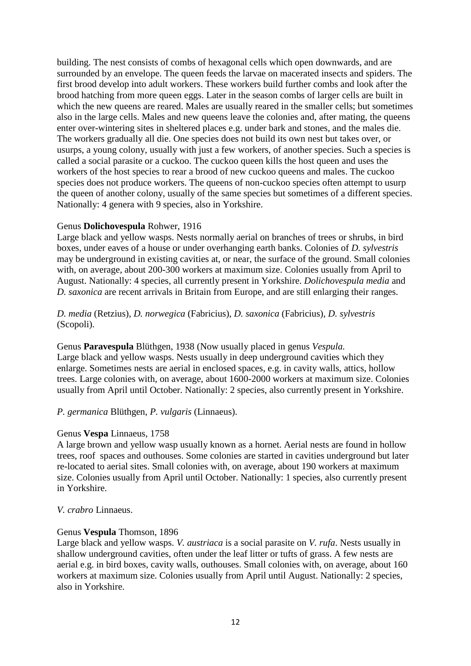building. The nest consists of combs of hexagonal cells which open downwards, and are surrounded by an envelope. The queen feeds the larvae on macerated insects and spiders. The first brood develop into adult workers. These workers build further combs and look after the brood hatching from more queen eggs. Later in the season combs of larger cells are built in which the new queens are reared. Males are usually reared in the smaller cells; but sometimes also in the large cells. Males and new queens leave the colonies and, after mating, the queens enter over-wintering sites in sheltered places e.g. under bark and stones, and the males die. The workers gradually all die. One species does not build its own nest but takes over, or usurps, a young colony, usually with just a few workers, of another species. Such a species is called a social parasite or a cuckoo. The cuckoo queen kills the host queen and uses the workers of the host species to rear a brood of new cuckoo queens and males. The cuckoo species does not produce workers. The queens of non-cuckoo species often attempt to usurp the queen of another colony, usually of the same species but sometimes of a different species. Nationally: 4 genera with 9 species, also in Yorkshire.

#### Genus **Dolichovespula** Rohwer, 1916

Large black and yellow wasps. Nests normally aerial on branches of trees or shrubs, in bird boxes, under eaves of a house or under overhanging earth banks. Colonies of *D. sylvestris* may be underground in existing cavities at, or near, the surface of the ground. Small colonies with, on average, about 200-300 workers at maximum size. Colonies usually from April to August. Nationally: 4 species, all currently present in Yorkshire. *Dolichovespula media* and *D. saxonica* are recent arrivals in Britain from Europe, and are still enlarging their ranges.

#### *D. media* (Retzius), *D. norwegica* (Fabricius), *D. saxonica* (Fabricius), *D. sylvestris* (Scopoli).

Genus **Paravespula** Blüthgen, 1938 (Now usually placed in genus *Vespula.* Large black and yellow wasps. Nests usually in deep underground cavities which they enlarge. Sometimes nests are aerial in enclosed spaces, e.g. in cavity walls, attics, hollow trees. Large colonies with, on average, about 1600-2000 workers at maximum size. Colonies usually from April until October. Nationally: 2 species, also currently present in Yorkshire.

# *P. germanica* Blüthgen, *P. vulgaris* (Linnaeus).

#### Genus **Vespa** Linnaeus, 1758

A large brown and yellow wasp usually known as a hornet. Aerial nests are found in hollow trees, roof spaces and outhouses. Some colonies are started in cavities underground but later re-located to aerial sites. Small colonies with, on average, about 190 workers at maximum size. Colonies usually from April until October. Nationally: 1 species, also currently present in Yorkshire.

#### *V. crabro* Linnaeus.

#### Genus **Vespula** Thomson, 1896

Large black and yellow wasps. *V. austriaca* is a social parasite on *V. rufa*. Nests usually in shallow underground cavities, often under the leaf litter or tufts of grass. A few nests are aerial e.g. in bird boxes, cavity walls, outhouses. Small colonies with, on average, about 160 workers at maximum size. Colonies usually from April until August. Nationally: 2 species, also in Yorkshire.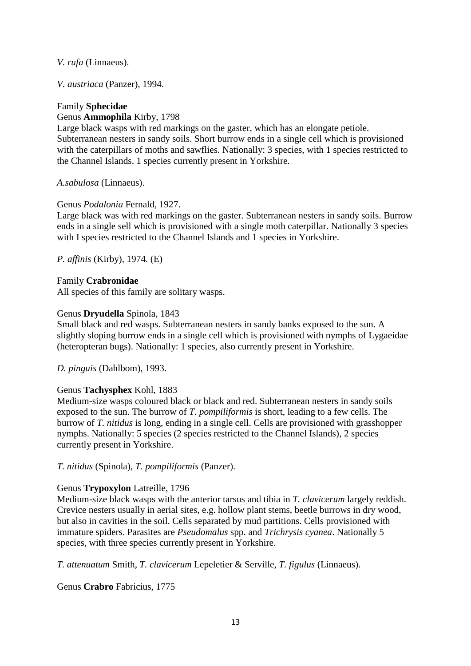*V. rufa* (Linnaeus).

*V. austriaca* (Panzer), 1994.

# Family **Sphecidae** Genus **Ammophila** Kirby, 1798

Large black wasps with red markings on the gaster, which has an elongate petiole. Subterranean nesters in sandy soils. Short burrow ends in a single cell which is provisioned with the caterpillars of moths and sawflies. Nationally: 3 species, with 1 species restricted to the Channel Islands. 1 species currently present in Yorkshire.

*A.sabulosa* (Linnaeus).

# Genus *Podalonia* Fernald, 1927.

Large black was with red markings on the gaster. Subterranean nesters in sandy soils. Burrow ends in a single sell which is provisioned with a single moth caterpillar. Nationally 3 species with I species restricted to the Channel Islands and 1 species in Yorkshire.

*P. affinis* (Kirby), 1974. (E)

# Family **Crabronidae**

All species of this family are solitary wasps.

#### Genus **Dryudella** Spinola, 1843

Small black and red wasps. Subterranean nesters in sandy banks exposed to the sun. A slightly sloping burrow ends in a single cell which is provisioned with nymphs of Lygaeidae (heteropteran bugs). Nationally: 1 species, also currently present in Yorkshire.

*D. pinguis* (Dahlbom), 1993.

# Genus **Tachysphex** Kohl, 1883

Medium-size wasps coloured black or black and red. Subterranean nesters in sandy soils exposed to the sun. The burrow of *T. pompiliformis* is short, leading to a few cells. The burrow of *T. nitidus* is long, ending in a single cell. Cells are provisioned with grasshopper nymphs. Nationally: 5 species (2 species restricted to the Channel Islands), 2 species currently present in Yorkshire.

*T. nitidus* (Spinola), *T. pompiliformis* (Panzer).

# Genus **Trypoxylon** Latreille, 1796

Medium-size black wasps with the anterior tarsus and tibia in *T. clavicerum* largely reddish. Crevice nesters usually in aerial sites, e.g. hollow plant stems, beetle burrows in dry wood, but also in cavities in the soil. Cells separated by mud partitions. Cells provisioned with immature spiders. Parasites are *Pseudomalus* spp. and *Trichrysis cyanea*. Nationally 5 species, with three species currently present in Yorkshire.

*T. attenuatum* Smith, *T. clavicerum* Lepeletier & Serville, *T. figulus* (Linnaeus).

Genus **Crabro** Fabricius, 1775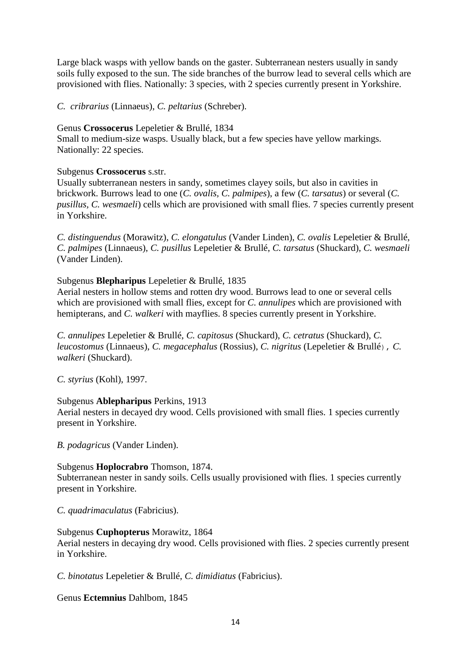Large black wasps with yellow bands on the gaster. Subterranean nesters usually in sandy soils fully exposed to the sun. The side branches of the burrow lead to several cells which are provisioned with flies. Nationally: 3 species, with 2 species currently present in Yorkshire.

*C. cribrarius* (Linnaeus), *C. peltarius* (Schreber).

### Genus **Crossocerus** Lepeletier & Brullé, 1834

Small to medium-size wasps. Usually black, but a few species have yellow markings. Nationally: 22 species.

# Subgenus **Crossocerus** s.str.

Usually subterranean nesters in sandy, sometimes clayey soils, but also in cavities in brickwork. Burrows lead to one (*C. ovalis, C. palmipes*), a few (*C. tarsatus*) or several (*C. pusillus, C. wesmaeli*) cells which are provisioned with small flies. 7 species currently present in Yorkshire.

*C. distinguendus* (Morawitz), *C. elongatulus* (Vander Linden), *C. ovalis* Lepeletier & Brullé, *C. palmipes* (Linnaeus), *C. pusillus* Lepeletier & Brullé, *C. tarsatus* (Shuckard), *C. wesmaeli* (Vander Linden).

# Subgenus **Blepharipus** Lepeletier & Brullé, 1835

Aerial nesters in hollow stems and rotten dry wood. Burrows lead to one or several cells which are provisioned with small flies, except for *C. annulipes* which are provisioned with hemipterans, and *C. walkeri* with mayflies. 8 species currently present in Yorkshire.

*C. annulipes* Lepeletier & Brullé, *C. capitosus* (Shuckard), *C. cetratus* (Shuckard), *C. leucostomus* (Linnaeus), *C. megacephalus* (Rossius), *C. nigritus* (Lepeletier & Brullé), *C. walkeri* (Shuckard).

*C. styrius* (Kohl), 1997.

# Subgenus **Ablepharipus** Perkins, 1913

Aerial nesters in decayed dry wood. Cells provisioned with small flies. 1 species currently present in Yorkshire.

*B. podagricus* (Vander Linden).

# Subgenus **Hoplocrabro** Thomson, 1874.

Subterranean nester in sandy soils. Cells usually provisioned with flies. 1 species currently present in Yorkshire.

*C. quadrimaculatus* (Fabricius).

#### Subgenus **Cuphopterus** Morawitz, 1864

Aerial nesters in decaying dry wood. Cells provisioned with flies. 2 species currently present in Yorkshire.

*C. binotatus* Lepeletier & Brullé, *C. dimidiatus* (Fabricius).

Genus **Ectemnius** Dahlbom, 1845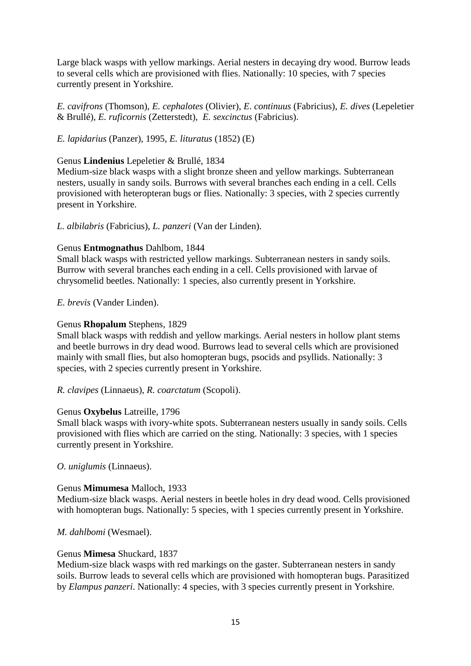Large black wasps with yellow markings. Aerial nesters in decaying dry wood. Burrow leads to several cells which are provisioned with flies. Nationally: 10 species, with 7 species currently present in Yorkshire.

*E. cavifrons* (Thomson), *E. cephalotes* (Olivier), *E. continuus* (Fabricius), *E. dives* (Lepeletier & Brullé), *E. ruficornis* (Zetterstedt), *E. sexcinctus* (Fabricius).

# *E. lapidarius* (Panzer), 1995, *E. lituratus* (1852) (E)

#### Genus **Lindenius** Lepeletier & Brullé, 1834

Medium-size black wasps with a slight bronze sheen and yellow markings. Subterranean nesters, usually in sandy soils. Burrows with several branches each ending in a cell. Cells provisioned with heteropteran bugs or flies. Nationally: 3 species, with 2 species currently present in Yorkshire.

# *L. albilabris* (Fabricius), *L. panzeri* (Van der Linden).

#### Genus **Entmognathus** Dahlbom, 1844

Small black wasps with restricted yellow markings. Subterranean nesters in sandy soils. Burrow with several branches each ending in a cell. Cells provisioned with larvae of chrysomelid beetles. Nationally: 1 species, also currently present in Yorkshire.

*E. brevis* (Vander Linden).

#### Genus **Rhopalum** Stephens, 1829

Small black wasps with reddish and yellow markings. Aerial nesters in hollow plant stems and beetle burrows in dry dead wood. Burrows lead to several cells which are provisioned mainly with small flies, but also homopteran bugs, psocids and psyllids. Nationally: 3 species, with 2 species currently present in Yorkshire.

#### *R. clavipes* (Linnaeus), *R. coarctatum* (Scopoli).

#### Genus **Oxybelus** Latreille, 1796

Small black wasps with ivory-white spots. Subterranean nesters usually in sandy soils. Cells provisioned with flies which are carried on the sting. Nationally: 3 species, with 1 species currently present in Yorkshire.

#### *O. uniglumis* (Linnaeus).

#### Genus **Mimumesa** Malloch, 1933

Medium-size black wasps. Aerial nesters in beetle holes in dry dead wood. Cells provisioned with homopteran bugs. Nationally: 5 species, with 1 species currently present in Yorkshire.

*M. dahlbomi* (Wesmael).

#### Genus **Mimesa** Shuckard, 1837

Medium-size black wasps with red markings on the gaster. Subterranean nesters in sandy soils. Burrow leads to several cells which are provisioned with homopteran bugs. Parasitized by *Elampus panzeri*. Nationally: 4 species, with 3 species currently present in Yorkshire.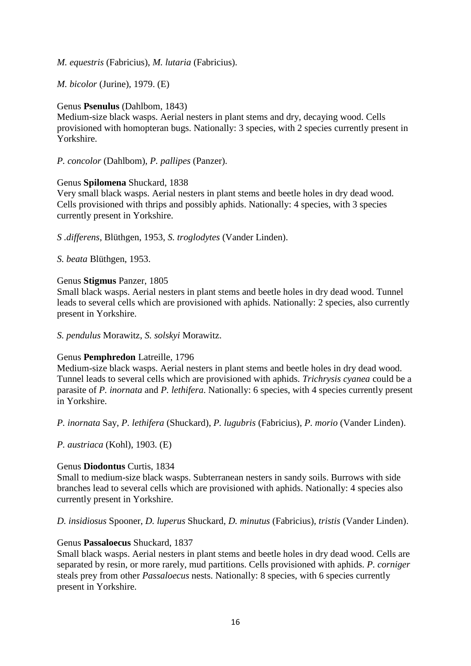*M. equestris* (Fabricius), *M. lutaria* (Fabricius).

*M. bicolor* (Jurine), 1979. (E)

# Genus **Psenulus** (Dahlbom, 1843)

Medium-size black wasps. Aerial nesters in plant stems and dry, decaying wood. Cells provisioned with homopteran bugs. Nationally: 3 species, with 2 species currently present in Yorkshire.

*P. concolor* (Dahlbom), *P. pallipes* (Panzer).

#### Genus **Spilomena** Shuckard, 1838

Very small black wasps. Aerial nesters in plant stems and beetle holes in dry dead wood. Cells provisioned with thrips and possibly aphids. Nationally: 4 species, with 3 species currently present in Yorkshire.

*S .differens*, Blüthgen, 1953, *S. troglodytes* (Vander Linden).

*S. beata* Blüthgen, 1953.

#### Genus **Stigmus** Panzer, 1805

Small black wasps. Aerial nesters in plant stems and beetle holes in dry dead wood. Tunnel leads to several cells which are provisioned with aphids. Nationally: 2 species, also currently present in Yorkshire.

*S. pendulus* Morawitz, *S. solskyi* Morawitz.

#### Genus **Pemphredon** Latreille, 1796

Medium-size black wasps. Aerial nesters in plant stems and beetle holes in dry dead wood. Tunnel leads to several cells which are provisioned with aphids. *Trichrysis cyanea* could be a parasite of *P. inornata* and *P. lethifera*. Nationally: 6 species, with 4 species currently present in Yorkshire.

*P. inornata* Say, *P. lethifera* (Shuckard), *P. lugubris* (Fabricius), *P. morio* (Vander Linden).

*P. austriaca* (Kohl), 1903. (E)

#### Genus **Diodontus** Curtis, 1834

Small to medium-size black wasps. Subterranean nesters in sandy soils. Burrows with side branches lead to several cells which are provisioned with aphids. Nationally: 4 species also currently present in Yorkshire.

*D. insidiosus* Spooner, *D. luperus* Shuckard, *D. minutus* (Fabricius), *tristis* (Vander Linden).

#### Genus **Passaloecus** Shuckard, 1837

Small black wasps. Aerial nesters in plant stems and beetle holes in dry dead wood. Cells are separated by resin, or more rarely, mud partitions. Cells provisioned with aphids. *P. corniger* steals prey from other *Passaloecus* nests. Nationally: 8 species, with 6 species currently present in Yorkshire.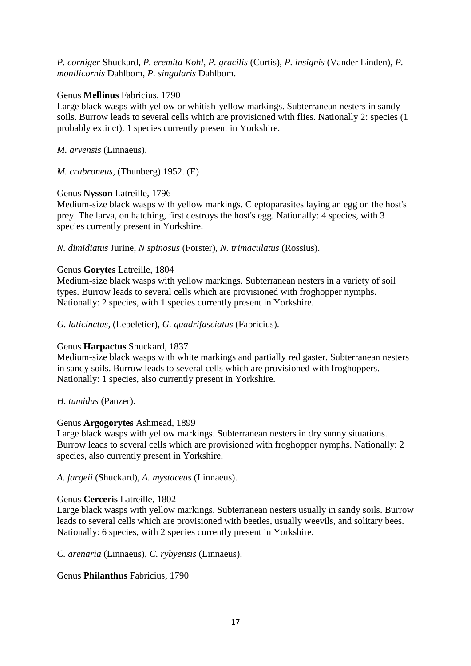*P. corniger* Shuckard, *P. eremita Kohl, P. gracilis* (Curtis), *P. insignis* (Vander Linden), *P. monilicornis* Dahlbom, *P. singularis* Dahlbom.

### Genus **Mellinus** Fabricius, 1790

Large black wasps with yellow or whitish-yellow markings. Subterranean nesters in sandy soils. Burrow leads to several cells which are provisioned with flies. Nationally 2: species (1 probably extinct). 1 species currently present in Yorkshire.

*M. arvensis* (Linnaeus).

*M. crabroneus,* (Thunberg) 1952. (E)

# Genus **Nysson** Latreille, 1796

Medium-size black wasps with yellow markings. Cleptoparasites laying an egg on the host's prey. The larva, on hatching, first destroys the host's egg. Nationally: 4 species, with 3 species currently present in Yorkshire.

*N. dimidiatus* Jurine, *N spinosus* (Forster), *N. trimaculatus* (Rossius).

# Genus **Gorytes** Latreille, 1804

Medium-size black wasps with yellow markings. Subterranean nesters in a variety of soil types. Burrow leads to several cells which are provisioned with froghopper nymphs. Nationally: 2 species, with 1 species currently present in Yorkshire.

*G. laticinctus,* (Lepeletier), *G. quadrifasciatus* (Fabricius).

# Genus **Harpactus** Shuckard, 1837

Medium-size black wasps with white markings and partially red gaster. Subterranean nesters in sandy soils. Burrow leads to several cells which are provisioned with froghoppers. Nationally: 1 species, also currently present in Yorkshire.

#### *H. tumidus* (Panzer).

#### Genus **Argogorytes** Ashmead, 1899

Large black wasps with yellow markings. Subterranean nesters in dry sunny situations. Burrow leads to several cells which are provisioned with froghopper nymphs. Nationally: 2 species, also currently present in Yorkshire.

*A. fargeii* (Shuckard), *A. mystaceus* (Linnaeus).

#### Genus **Cerceris** Latreille, 1802

Large black wasps with yellow markings. Subterranean nesters usually in sandy soils. Burrow leads to several cells which are provisioned with beetles, usually weevils, and solitary bees. Nationally: 6 species, with 2 species currently present in Yorkshire.

*C. arenaria* (Linnaeus), *C. rybyensis* (Linnaeus).

Genus **Philanthus** Fabricius, 1790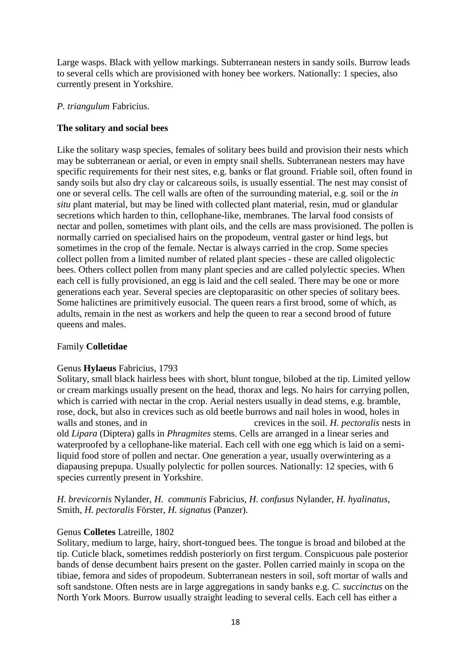Large wasps. Black with yellow markings. Subterranean nesters in sandy soils. Burrow leads to several cells which are provisioned with honey bee workers. Nationally: 1 species, also currently present in Yorkshire.

### *P. triangulum* Fabricius.

# **The solitary and social bees**

Like the solitary wasp species, females of solitary bees build and provision their nests which may be subterranean or aerial, or even in empty snail shells. Subterranean nesters may have specific requirements for their nest sites, e.g. banks or flat ground. Friable soil, often found in sandy soils but also dry clay or calcareous soils, is usually essential. The nest may consist of one or several cells. The cell walls are often of the surrounding material, e.g. soil or the *in situ* plant material, but may be lined with collected plant material, resin, mud or glandular secretions which harden to thin, cellophane-like, membranes. The larval food consists of nectar and pollen, sometimes with plant oils, and the cells are mass provisioned. The pollen is normally carried on specialised hairs on the propodeum, ventral gaster or hind legs, but sometimes in the crop of the female. Nectar is always carried in the crop. Some species collect pollen from a limited number of related plant species - these are called oligolectic bees. Others collect pollen from many plant species and are called polylectic species. When each cell is fully provisioned, an egg is laid and the cell sealed. There may be one or more generations each year. Several species are cleptoparasitic on other species of solitary bees. Some halictines are primitively eusocial. The queen rears a first brood, some of which, as adults, remain in the nest as workers and help the queen to rear a second brood of future queens and males.

#### Family **Colletidae**

#### Genus **Hylaeus** Fabricius, 1793

Solitary, small black hairless bees with short, blunt tongue, bilobed at the tip. Limited yellow or cream markings usually present on the head, thorax and legs. No hairs for carrying pollen, which is carried with nectar in the crop. Aerial nesters usually in dead stems, e.g. bramble, rose, dock, but also in crevices such as old beetle burrows and nail holes in wood, holes in walls and stones, and in crevices in the soil. *H. pectoralis* nests in old *Lipara* (Diptera) galls in *Phragmites* stems. Cells are arranged in a linear series and waterproofed by a cellophane-like material. Each cell with one egg which is laid on a semiliquid food store of pollen and nectar. One generation a year, usually overwintering as a diapausing prepupa. Usually polylectic for pollen sources. Nationally: 12 species, with 6 species currently present in Yorkshire.

*H. brevicornis* Nylander, *H. communis* Fabricius, *H. confusus* Nylander, *H. hyalinatus*, Smith, *H. pectoralis* Förster, *H. signatus* (Panzer).

#### Genus **Colletes** Latreille, 1802

Solitary, medium to large, hairy, short-tongued bees. The tongue is broad and bilobed at the tip. Cuticle black, sometimes reddish posteriorly on first tergum. Conspicuous pale posterior bands of dense decumbent hairs present on the gaster. Pollen carried mainly in scopa on the tibiae, femora and sides of propodeum. Subterranean nesters in soil, soft mortar of walls and soft sandstone. Often nests are in large aggregations in sandy banks e.g. *C. succinctus* on the North York Moors. Burrow usually straight leading to several cells. Each cell has either a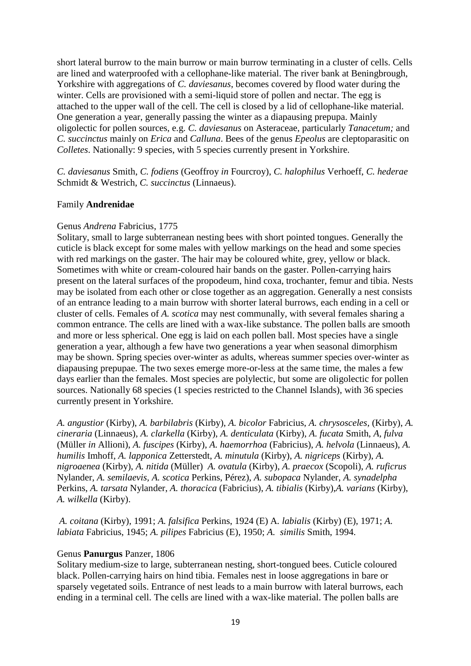short lateral burrow to the main burrow or main burrow terminating in a cluster of cells. Cells are lined and waterproofed with a cellophane-like material. The river bank at Beningbrough, Yorkshire with aggregations of *C. daviesanus*, becomes covered by flood water during the winter. Cells are provisioned with a semi-liquid store of pollen and nectar. The egg is attached to the upper wall of the cell. The cell is closed by a lid of cellophane-like material. One generation a year, generally passing the winter as a diapausing prepupa. Mainly oligolectic for pollen sources, e.g. *C. daviesanus* on Asteraceae, particularly *Tanacetum;* and *C. succinctus* mainly on *Erica* and *Calluna*. Bees of the genus *Epeolus* are cleptoparasitic on *Colletes*. Nationally: 9 species, with 5 species currently present in Yorkshire.

*C. daviesanus* Smith, *C. fodiens* (Geoffroy *in* Fourcroy), *C. halophilus* Verhoeff, *C. hederae* Schmidt & Westrich, *C. succinctus* (Linnaeus).

#### Family **Andrenidae**

#### Genus *Andrena* Fabricius, 1775

Solitary, small to large subterranean nesting bees with short pointed tongues. Generally the cuticle is black except for some males with yellow markings on the head and some species with red markings on the gaster. The hair may be coloured white, grey, yellow or black. Sometimes with white or cream-coloured hair bands on the gaster. Pollen-carrying hairs present on the lateral surfaces of the propodeum, hind coxa, trochanter, femur and tibia. Nests may be isolated from each other or close together as an aggregation. Generally a nest consists of an entrance leading to a main burrow with shorter lateral burrows, each ending in a cell or cluster of cells. Females of *A. scotica* may nest communally, with several females sharing a common entrance. The cells are lined with a wax-like substance. The pollen balls are smooth and more or less spherical. One egg is laid on each pollen ball. Most species have a single generation a year, although a few have two generations a year when seasonal dimorphism may be shown. Spring species over-winter as adults, whereas summer species over-winter as diapausing prepupae. The two sexes emerge more-or-less at the same time, the males a few days earlier than the females. Most species are polylectic, but some are oligolectic for pollen sources. Nationally 68 species (1 species restricted to the Channel Islands), with 36 species currently present in Yorkshire.

*A. angustior* (Kirby), *A. barbilabris* (Kirby), *A. bicolor* Fabricius, *A. chrysosceles,* (Kirby), *A. cineraria* (Linnaeus), *A. clarkella* (Kirby), *A. denticulata* (Kirby), *A. fucata* Smith, *A, fulva*  (Müller *in* Allioni), *A. fuscipes* (Kirby), *A. haemorrhoa* (Fabricius), *A. helvola* (Linnaeus), *A. humilis* Imhoff, *A. lapponica* Zetterstedt, *A. minutula* (Kirby), *A. nigriceps* (Kirby), *A. nigroaenea* (Kirby), *A. nitida* (Müller) *A. ovatula* (Kirby), *A. praecox* (Scopoli), *A. ruficrus* Nylander, *A. semilaevis, A. scotica* Perkins, Pérez), *A. subopaca* Nylander, *A. synadelpha*  Perkins, *A. tarsata* Nylander, *A. thoracica* (Fabricius), *A. tibialis* (Kirby),*A. varians* (Kirby), *A. wilkella* (Kirby).

*A. coitana* (Kirby), 1991; *A. falsifica* Perkins, 1924 (E) A*. labialis* (Kirby) (E), 1971; *A. labiata* Fabricius, 1945; *A. pilipes* Fabricius (E), 1950; *A. similis* Smith, 1994.

#### Genus **Panurgus** Panzer, 1806

Solitary medium-size to large, subterranean nesting, short-tongued bees. Cuticle coloured black. Pollen-carrying hairs on hind tibia. Females nest in loose aggregations in bare or sparsely vegetated soils. Entrance of nest leads to a main burrow with lateral burrows, each ending in a terminal cell. The cells are lined with a wax-like material. The pollen balls are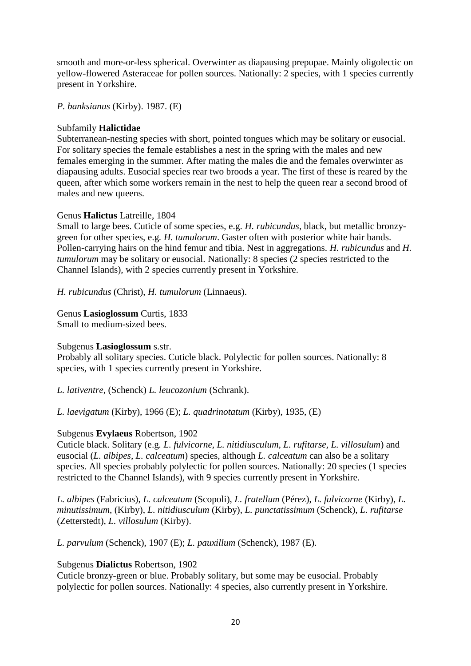smooth and more-or-less spherical. Overwinter as diapausing prepupae. Mainly oligolectic on yellow-flowered Asteraceae for pollen sources. Nationally: 2 species, with 1 species currently present in Yorkshire.

*P. banksianus* (Kirby). 1987. (E)

# Subfamily **Halictidae**

Subterranean-nesting species with short, pointed tongues which may be solitary or eusocial. For solitary species the female establishes a nest in the spring with the males and new females emerging in the summer. After mating the males die and the females overwinter as diapausing adults. Eusocial species rear two broods a year. The first of these is reared by the queen, after which some workers remain in the nest to help the queen rear a second brood of males and new queens.

# Genus **Halictus** Latreille, 1804

Small to large bees. Cuticle of some species, e.g. *H. rubicundus*, black, but metallic bronzygreen for other species, e.g*. H. tumulorum*. Gaster often with posterior white hair bands. Pollen-carrying hairs on the hind femur and tibia. Nest in aggregations. *H. rubicundus* and *H. tumulorum* may be solitary or eusocial. Nationally: 8 species (2 species restricted to the Channel Islands), with 2 species currently present in Yorkshire.

*H. rubicundus* (Christ), *H. tumulorum* (Linnaeus).

Genus **Lasioglossum** Curtis, 1833 Small to medium-sized bees.

# Subgenus **Lasioglossum** s.str.

Probably all solitary species. Cuticle black. Polylectic for pollen sources. Nationally: 8 species, with 1 species currently present in Yorkshire.

*L. lativentre*, (Schenck) *L. leucozonium* (Schrank).

*L. laevigatum* (Kirby), 1966 (E); *L. quadrinotatum* (Kirby), 1935, (E)

#### Subgenus **Evylaeus** Robertson, 1902

Cuticle black. Solitary (e.g*. L. fulvicorne, L. nitidiusculum, L. rufitarse, L. villosulum*) and eusocial (*L. albipes, L. calceatum*) species, although *L. calceatum* can also be a solitary species. All species probably polylectic for pollen sources. Nationally: 20 species (1 species restricted to the Channel Islands), with 9 species currently present in Yorkshire.

*L. albipes* (Fabricius), *L. calceatum* (Scopoli), *L. fratellum* (Pérez), *L. fulvicorne* (Kirby), *L. minutissimum*, (Kirby), *L. nitidiusculum* (Kirby), *L. punctatissimum* (Schenck), *L. rufitarse* (Zetterstedt), *L. villosulum* (Kirby).

*L. parvulum* (Schenck), 1907 (E); *L. pauxillum* (Schenck), 1987 (E).

#### Subgenus **Dialictus** Robertson, 1902

Cuticle bronzy-green or blue. Probably solitary, but some may be eusocial. Probably polylectic for pollen sources. Nationally: 4 species, also currently present in Yorkshire.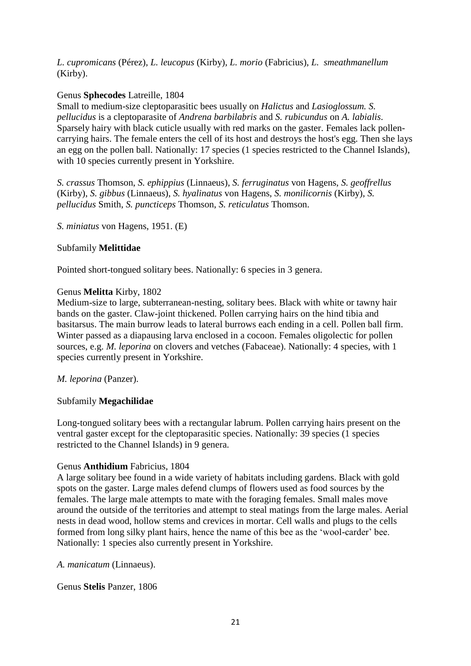*L. cupromicans* (Pérez), *L. leucopus* (Kirby), *L. morio* (Fabricius), *L. smeathmanellum* (Kirby).

# Genus **Sphecodes** Latreille, 1804

Small to medium-size cleptoparasitic bees usually on *Halictus* and *Lasioglossum. S. pellucidus* is a cleptoparasite of *Andrena barbilabris* and *S. rubicundus* on *A. labialis*. Sparsely hairy with black cuticle usually with red marks on the gaster. Females lack pollencarrying hairs. The female enters the cell of its host and destroys the host's egg. Then she lays an egg on the pollen ball. Nationally: 17 species (1 species restricted to the Channel Islands), with 10 species currently present in Yorkshire.

*S. crassus* Thomson, *S. ephippius* (Linnaeus), *S. ferruginatus* von Hagens, *S. geoffrellus* (Kirby), *S. gibbus* (Linnaeus), *S. hyalinatus* von Hagens, *S. monilicornis* (Kirby), *S. pellucidus* Smith, *S. puncticeps* Thomson, *S. reticulatus* Thomson.

*S. miniatus* von Hagens, 1951. (E)

# Subfamily **Melittidae**

Pointed short-tongued solitary bees. Nationally: 6 species in 3 genera.

# Genus **Melitta** Kirby, 1802

Medium-size to large, subterranean-nesting, solitary bees. Black with white or tawny hair bands on the gaster. Claw-joint thickened. Pollen carrying hairs on the hind tibia and basitarsus. The main burrow leads to lateral burrows each ending in a cell. Pollen ball firm. Winter passed as a diapausing larva enclosed in a cocoon. Females oligolectic for pollen sources, e.g. *M. leporina* on clovers and vetches (Fabaceae). Nationally: 4 species, with 1 species currently present in Yorkshire.

#### *M. leporina* (Panzer).

#### Subfamily **Megachilidae**

Long-tongued solitary bees with a rectangular labrum. Pollen carrying hairs present on the ventral gaster except for the cleptoparasitic species. Nationally: 39 species (1 species restricted to the Channel Islands) in 9 genera.

#### Genus **Anthidium** Fabricius, 1804

A large solitary bee found in a wide variety of habitats including gardens. Black with gold spots on the gaster. Large males defend clumps of flowers used as food sources by the females. The large male attempts to mate with the foraging females. Small males move around the outside of the territories and attempt to steal matings from the large males. Aerial nests in dead wood, hollow stems and crevices in mortar. Cell walls and plugs to the cells formed from long silky plant hairs, hence the name of this bee as the 'wool-carder' bee. Nationally: 1 species also currently present in Yorkshire.

*A. manicatum* (Linnaeus).

Genus **Stelis** Panzer, 1806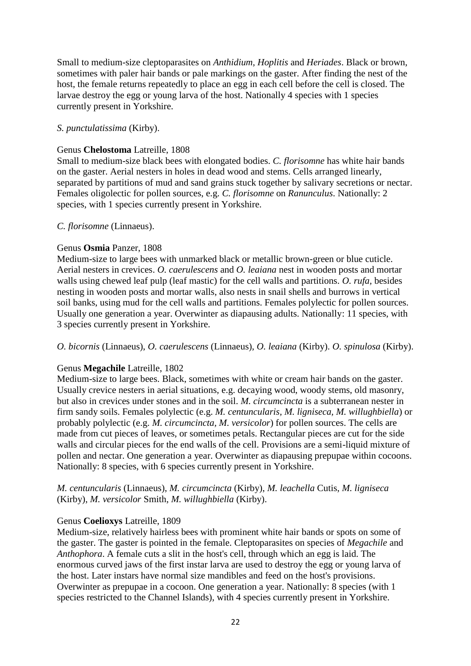Small to medium-size cleptoparasites on *Anthidium, Hoplitis* and *Heriades*. Black or brown, sometimes with paler hair bands or pale markings on the gaster. After finding the nest of the host, the female returns repeatedly to place an egg in each cell before the cell is closed. The larvae destroy the egg or young larva of the host. Nationally 4 species with 1 species currently present in Yorkshire.

# *S. punctulatissima* (Kirby).

#### Genus **Chelostoma** Latreille, 1808

Small to medium-size black bees with elongated bodies. *C. florisomne* has white hair bands on the gaster. Aerial nesters in holes in dead wood and stems. Cells arranged linearly, separated by partitions of mud and sand grains stuck together by salivary secretions or nectar. Females oligolectic for pollen sources, e.g. *C. florisomne* on *Ranunculus*. Nationally: 2 species, with 1 species currently present in Yorkshire.

# *C. florisomne* (Linnaeus).

# Genus **Osmia** Panzer, 1808

Medium-size to large bees with unmarked black or metallic brown-green or blue cuticle. Aerial nesters in crevices. *O. caerulescens* and *O. leaiana* nest in wooden posts and mortar walls using chewed leaf pulp (leaf mastic) for the cell walls and partitions. *O. rufa,* besides nesting in wooden posts and mortar walls, also nests in snail shells and burrows in vertical soil banks, using mud for the cell walls and partitions. Females polylectic for pollen sources. Usually one generation a year. Overwinter as diapausing adults. Nationally: 11 species, with 3 species currently present in Yorkshire.

*O. bicornis* (Linnaeus), *O. caerulescens* (Linnaeus), *O. leaiana* (Kirby). *O. spinulosa* (Kirby).

#### Genus **Megachile** Latreille, 1802

Medium-size to large bees. Black, sometimes with white or cream hair bands on the gaster. Usually crevice nesters in aerial situations, e.g. decaying wood, woody stems, old masonry, but also in crevices under stones and in the soil. *M. circumcincta* is a subterranean nester in firm sandy soils. Females polylectic (e.g. *M. centuncularis, M. ligniseca, M. willughbiella*) or probably polylectic (e.g. *M. circumcincta, M. versicolor*) for pollen sources. The cells are made from cut pieces of leaves, or sometimes petals. Rectangular pieces are cut for the side walls and circular pieces for the end walls of the cell. Provisions are a semi-liquid mixture of pollen and nectar. One generation a year. Overwinter as diapausing prepupae within cocoons. Nationally: 8 species, with 6 species currently present in Yorkshire.

# *M. centuncularis* (Linnaeus), *M. circumcincta* (Kirby), *M. leachella* Cutis, *M. ligniseca* (Kirby), *M. versicolor* Smith, *M. willughbiella* (Kirby).

# Genus **Coelioxys** Latreille, 1809

Medium-size, relatively hairless bees with prominent white hair bands or spots on some of the gaster. The gaster is pointed in the female. Cleptoparasites on species of *Megachile* and *Anthophora*. A female cuts a slit in the host's cell, through which an egg is laid. The enormous curved jaws of the first instar larva are used to destroy the egg or young larva of the host. Later instars have normal size mandibles and feed on the host's provisions. Overwinter as prepupae in a cocoon. One generation a year. Nationally: 8 species (with 1 species restricted to the Channel Islands), with 4 species currently present in Yorkshire.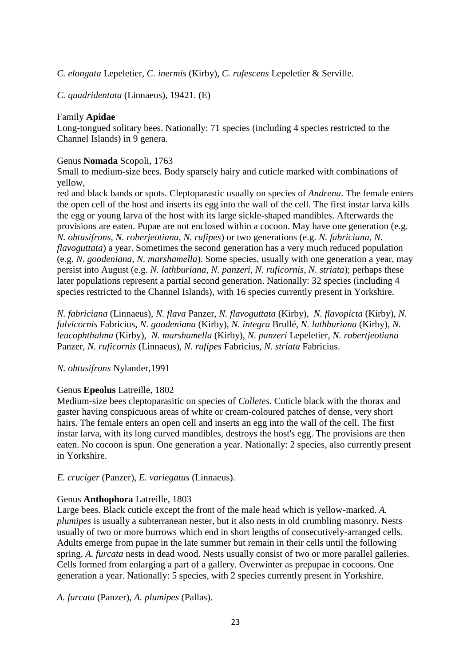*C. elongata* Lepeletier, *C. inermis* (Kirby), *C. rufescens* Lepeletier & Serville.

*C. quadridentata* (Linnaeus), 19421. (E)

# Family **Apidae**

Long-tongued solitary bees. Nationally: 71 species (including 4 species restricted to the Channel Islands) in 9 genera.

# Genus **Nomada** Scopoli, 1763

Small to medium-size bees. Body sparsely hairy and cuticle marked with combinations of yellow,

red and black bands or spots. Cleptoparastic usually on species of *Andrena*. The female enters the open cell of the host and inserts its egg into the wall of the cell. The first instar larva kills the egg or young larva of the host with its large sickle-shaped mandibles. Afterwards the provisions are eaten. Pupae are not enclosed within a cocoon. May have one generation (e.g. *N. obtusifrons, N. roberjeotiana, N. rufipes*) or two generations (e.g. *N. fabriciana, N. flavoguttata*) a year. Sometimes the second generation has a very much reduced population (e.g. *N. goodeniana, N. marshamella*). Some species, usually with one generation a year, may persist into August (e.g. *N. lathburiana, N. panzeri, N. ruficornis, N. striata*); perhaps these later populations represent a partial second generation. Nationally: 32 species (including 4 species restricted to the Channel Islands), with 16 species currently present in Yorkshire.

*N. fabriciana* (Linnaeus), *N. flava* Panzer, *N. flavoguttata* (Kirby), *N. flavopicta* (Kirby), *N. fulvicornis* Fabricius, *N. goodeniana* (Kirby), *N. integra* Brullé, *N. lathburiana* (Kirby), *N. leucophthalma* (Kirby), *N. marshamella* (Kirby), *N. panzeri* Lepeletier, *N. robertjeotiana* Panzer, *N. ruficornis* (Linnaeus), *N. rufipes* Fabricius, *N. striata* Fabricius.

#### *N. obtusifrons* Nylander,1991

#### Genus **Epeolus** Latreille, 1802

Medium-size bees cleptoparasitic on species of *Colletes*. Cuticle black with the thorax and gaster having conspicuous areas of white or cream-coloured patches of dense, very short hairs. The female enters an open cell and inserts an egg into the wall of the cell. The first instar larva, with its long curved mandibles, destroys the host's egg. The provisions are then eaten. No cocoon is spun. One generation a year. Nationally: 2 species, also currently present in Yorkshire.

# *E. cruciger* (Panzer), *E. variegatus* (Linnaeus).

#### Genus **Anthophora** Latreille, 1803

Large bees. Black cuticle except the front of the male head which is yellow-marked. *A. plumipes* is usually a subterranean nester, but it also nests in old crumbling masonry. Nests usually of two or more burrows which end in short lengths of consecutively-arranged cells. Adults emerge from pupae in the late summer but remain in their cells until the following spring. *A. furcata* nests in dead wood. Nests usually consist of two or more parallel galleries. Cells formed from enlarging a part of a gallery. Overwinter as prepupae in cocoons. One generation a year. Nationally: 5 species, with 2 species currently present in Yorkshire.

*A. furcata* (Panzer), *A. plumipes* (Pallas).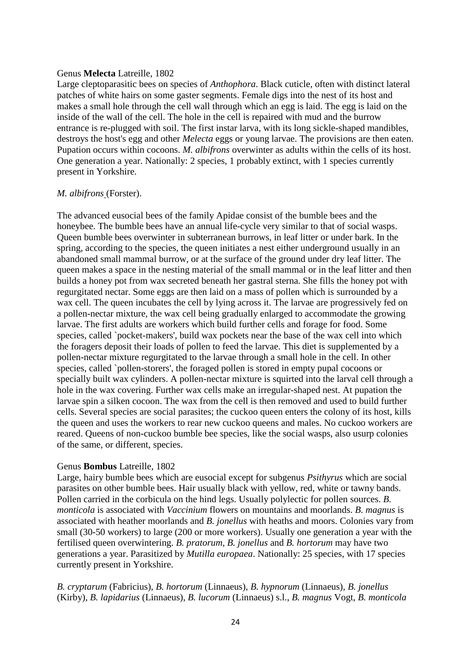#### Genus **Melecta** Latreille, 1802

Large cleptoparasitic bees on species of *Anthophora*. Black cuticle, often with distinct lateral patches of white hairs on some gaster segments. Female digs into the nest of its host and makes a small hole through the cell wall through which an egg is laid. The egg is laid on the inside of the wall of the cell. The hole in the cell is repaired with mud and the burrow entrance is re-plugged with soil. The first instar larva, with its long sickle-shaped mandibles, destroys the host's egg and other *Melecta* eggs or young larvae. The provisions are then eaten. Pupation occurs within cocoons. *M. albifrons* overwinter as adults within the cells of its host. One generation a year. Nationally: 2 species, 1 probably extinct, with 1 species currently present in Yorkshire.

#### *M. albifrons* (Forster).

The advanced eusocial bees of the family Apidae consist of the bumble bees and the honeybee. The bumble bees have an annual life-cycle very similar to that of social wasps. Queen bumble bees overwinter in subterranean burrows, in leaf litter or under bark. In the spring, according to the species, the queen initiates a nest either underground usually in an abandoned small mammal burrow, or at the surface of the ground under dry leaf litter. The queen makes a space in the nesting material of the small mammal or in the leaf litter and then builds a honey pot from wax secreted beneath her gastral sterna. She fills the honey pot with regurgitated nectar. Some eggs are then laid on a mass of pollen which is surrounded by a wax cell. The queen incubates the cell by lying across it. The larvae are progressively fed on a pollen-nectar mixture, the wax cell being gradually enlarged to accommodate the growing larvae. The first adults are workers which build further cells and forage for food. Some species, called `pocket-makers', build wax pockets near the base of the wax cell into which the foragers deposit their loads of pollen to feed the larvae. This diet is supplemented by a pollen-nectar mixture regurgitated to the larvae through a small hole in the cell. In other species, called `pollen-storers', the foraged pollen is stored in empty pupal cocoons or specially built wax cylinders. A pollen-nectar mixture is squirted into the larval cell through a hole in the wax covering. Further wax cells make an irregular-shaped nest. At pupation the larvae spin a silken cocoon. The wax from the cell is then removed and used to build further cells. Several species are social parasites; the cuckoo queen enters the colony of its host, kills the queen and uses the workers to rear new cuckoo queens and males. No cuckoo workers are reared. Queens of non-cuckoo bumble bee species, like the social wasps, also usurp colonies of the same, or different, species.

#### Genus **Bombus** Latreille, 1802

Large, hairy bumble bees which are eusocial except for subgenus *Psithyrus* which are social parasites on other bumble bees. Hair usually black with yellow, red, white or tawny bands. Pollen carried in the corbicula on the hind legs. Usually polylectic for pollen sources. *B. monticola* is associated with *Vaccinium* flowers on mountains and moorlands. *B. magnus* is associated with heather moorlands and *B. jonellus* with heaths and moors. Colonies vary from small (30-50 workers) to large (200 or more workers). Usually one generation a year with the fertilised queen overwintering. *B. pratorum, B. jonellus* and *B. hortorum* may have two generations a year. Parasitized by *Mutilla europaea*. Nationally: 25 species, with 17 species currently present in Yorkshire.

*B. cryptarum* (Fabricius), *B. hortorum* (Linnaeus), *B. hypnorum* (Linnaeus), *B. jonellus*  (Kirby), *B. lapidarius* (Linnaeus), *B. lucorum* (Linnaeus) s.l., *B. magnus* Vogt, *B. monticola*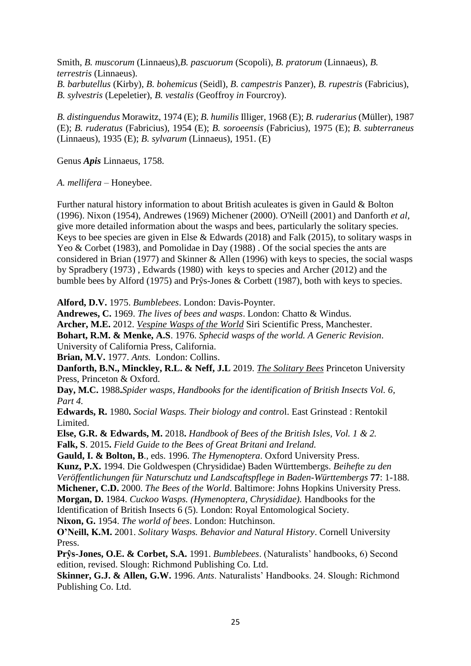Smith, *B. muscorum* (Linnaeus),*B. pascuorum* (Scopoli), *B. pratorum* (Linnaeus), *B. terrestris* (Linnaeus).

*B. barbutellus* (Kirby), *B. bohemicus* (Seidl), *B. campestris* Panzer), *B. rupestris* (Fabricius), *B. sylvestris* (Lepeletier), *B. vestalis* (Geoffroy *in* Fourcroy).

*B. distinguendus* Morawitz, 1974 (E); *B. humilis* Illiger, 1968 (E); *B. ruderarius* (Müller), 1987 (E); *B. ruderatus* (Fabricius), 1954 (E); *B. soroeensis* (Fabricius), 1975 (E); *B. subterraneus* (Linnaeus), 1935 (E); *B. sylvarum* (Linnaeus), 1951. (E)

Genus *Apis* Linnaeus, 1758.

*A. mellifera* – Honeybee.

Further natural history information to about British aculeates is given in Gauld & Bolton (1996). Nixon (1954), Andrewes (1969) Michener (2000). O'Neill (2001) and Danforth *et al,*  give more detailed information about the wasps and bees, particularly the solitary species. Keys to bee species are given in Else & Edwards (2018) and Falk (2015), to solitary wasps in Yeo & Corbet (1983), and Pomolidae in Day (1988). Of the social species the ants are considered in Brian (1977) and Skinner & Allen (1996) with keys to species, the social wasps by Spradbery (1973) , Edwards (1980) with keys to species and Archer (2012) and the bumble bees by Alford (1975) and Prŷs-Jones & Corbett (1987), both with keys to species.

**Alford, D.V.** 1975. *Bumblebees*. London: Davis-Poynter.

**Andrewes, C.** 1969. *The lives of bees and wasps*. London: Chatto & Windus.

**Archer, M.E.** 2012. *Vespine Wasps of the World* Siri Scientific Press, Manchester.

**Bohart, R.M. & Menke, A.S**. 1976. *Sphecid wasps of the world. A Generic Revision*. University of California Press, California.

**Brian, M.V.** 1977. *Ants.* London: Collins.

**Danforth, B.N., Minckley, R.L. & Neff, J.L** 2019. *The Solitary Bees* Princeton University Press, Princeton & Oxford.

**Day, M.C.** 1988**.***Spider wasps, Handbooks for the identification of British Insects Vol. 6, Part 4.* 

**Edwards, R.** 1980**.** *Social Wasps. Their biology and contro*l. East Grinstead : Rentokil Limited.

**Else, G.R. & Edwards, M.** 2018**.** *Handbook of Bees of the British Isles, Vol. 1 & 2.* **Falk, S**. 2015**.** *Field Guide to the Bees of Great Britani and Ireland.*

**Gauld, I. & Bolton, B**., eds. 1996. *The Hymenoptera*. Oxford University Press.

**Kunz, P.X.** 1994. Die Goldwespen (Chrysididae) Baden Württembergs. *Beihefte zu den Veröffentlichungen für Naturschutz und Landscaftspflege in Baden-Württembergs* **77**: 1-188.

**Michener, C.D.** 2000. *The Bees of the World*. Baltimore: Johns Hopkins University Press.

**Morgan, D.** 1984. *Cuckoo Wasps. (Hymenoptera, Chrysididae).* Handbooks for the

Identification of British Insects 6 (5). London: Royal Entomological Society.

**Nixon, G.** 1954. *The world of bees*. London: Hutchinson.

**O'Neill, K.M.** 2001. *Solitary Wasps. Behavior and Natural History*. Cornell University Press.

**Prŷs-Jones, O.E. & Corbet, S.A.** 1991. *Bumblebees*. (Naturalists' handbooks, 6) Second edition, revised. Slough: Richmond Publishing Co. Ltd.

**Skinner, G.J. & Allen, G.W.** 1996. *Ants*. Naturalists' Handbooks. 24. Slough: Richmond Publishing Co. Ltd.